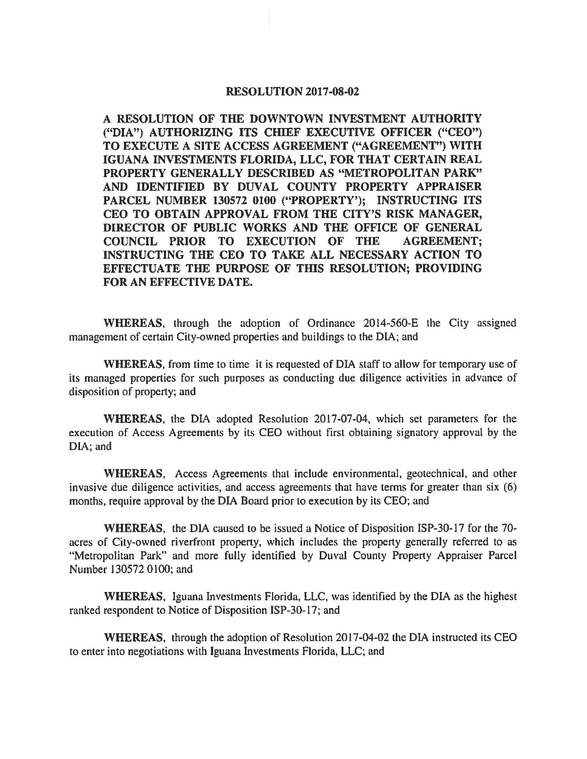## **RESOLUTION 2017-08-02**

**A RESOLUTION OF THE DOWNTOWN INVESTMENT AUTHORITY ("DIA") AUTHORIZING ITS CHIEF EXECUTIVE OFFICER ("CEO") TO EXECUTE A SITE ACCESS AGREEMENT ("AGREEMENT") WITH IGUANA INVESTMENTS FLORIDA, LLC, FOR THAT CERTAIN REAL PROPERTY GENERALLY DESCRIBED AS "METROPOLITAN PARK" AND IDENTIFIED BY DUVAL COUNTY PROPERTY APPRAISER PARCEL NUMBER 130572 0100 ("PROPERTY'); INSTRUCTING ITS CEO TO OBTAIN APPROVAL FROM THE CITY'S RISK MANAGER, DIRECTOR OF PUBLIC WORKS AND THE OFFICE OF GENERAL COUNCIL PRIOR TO EXECUTION OF THE AGREEMENT; INSTRUCTING THE CEO TO TAKE ALL NECESSARY ACTION TO EFFECTUATE THE PURPOSE OF THIS RESOLUTION; PROVIDING FOR AN EFFECTIVE DATE.** 

**WHEREAS,** through the adoption of Ordinance 2014-560-E the City assigned management of certain City-owned properties and buildings to the DIA; and

**WHEREAS,** from time to time it is requested of DIA staff to allow for temporary use of its managed properties for such purposes as conducting due diligence activities in advance of disposition of property; and

**WHEREAS,** the DIA adopted Resolution 2017-07-04, which set parameters for the execution of Access Agreements by its CEO without first obtaining signatory approval by the DIA; and

**WHEREAS,** Access Agreements that include environmental, geotechnical, and other invasive due diligence activities, and access agreements that have terms for greater than six (6) months, require approval by the DIA Board prior to execution by its CEO; and

**WHEREAS,** the DIA caused to be issued a Notice of Disposition ISP-30-17 for the 70 acres of City-owned riverfront property, which includes the property generally referred to as "Metropolitan Park" and more fully identified by Duval County Property Appraiser Parcel Number 130572 0100; and

**WHEREAS,** Iguana Investments Florida, LLC, was identified by the DIA as the highest ranked respondent to Notice of Disposition ISP-30-17; and

**WHEREAS,** through the adoption of Resolution 2017-04-02 the DIA instructed its CEO to enter into negotiations with Iguana Investments Florida, LLC; and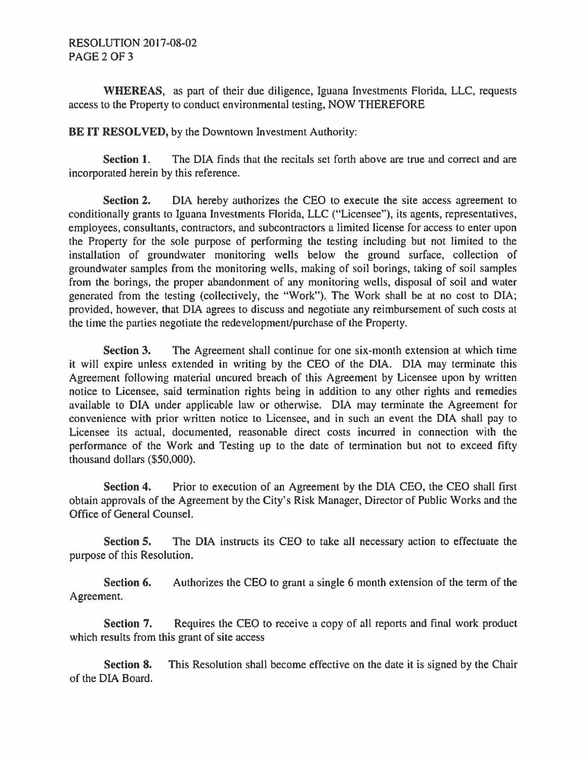## RESOLUTION 2017-08-02 PAGE2OF3

**WHEREAS,** as part of their due diligence, Iguana Investments Florida, LLC, requests access to the Property to conduct environmental testing, NOW THEREFORE

**BE IT RESOLVED,** by the Downtown Investment Authority:

Section 1. The DIA finds that the recitals set forth above are true and correct and are incorporated herein by this reference.

**Section 2.** DIA hereby authorizes the CEO to execute the site access agreement to conditionally grants to Iguana Investments Florida, LLC ("Licensee"), its agents, representatives, employees, consultants, contractors, and subcontractors a limited license for access to enter upon the Property for the sole purpose of performing the testing including but not limited to the installation of groundwater monitoring wells below the ground surface, collection of groundwater samples from the monitoring wells, making of soil borings, taking of soil samples from the borings, the proper abandonment of any monitoring wells, disposal of soil and water generated from the testing (collectively, the "Work"). The Work shall be at no cost to DIA; provided, however, that DIA agrees to discuss and negotiate any reimbursement of such costs at the time the parties negotiate the redevelopment/purchase of the Property.

**Section 3.** The Agreement shall continue for one six-month extension at which time it will expire unless extended in writing by the CEO of the DIA. DIA may terminate this Agreement following material uncured breach of this Agreement by Licensee upon by written notice to Licensee, said termination rights being in addition to any other rights and remedies available to DIA under applicable law or otherwise. DIA may terminate the Agreement for convenience with prior written notice to Licensee, and in such an event the DIA shall pay to Licensee its actual, documented, reasonable direct costs incurred in connection with the performance of the Work and Testing up to the date of termination but not to exceed fifty thousand dollars (\$50,000).

**Section 4.** Prior to execution of an Agreement by the DIA CEO, the CEO shall first obtain approvals of the Agreement by the City's Risk Manager, Director of Public Works and the Office of General Counsel.

**Section 5.** The DIA instructs its CEO to take all necessary action to effectuate the purpose of this Resolution.

**Section 6.** Authorizes the CEO to grant a single 6 month extension of the term of the Agreement.

**Section 7.** Requires the CEO to receive a copy of all reports and final work product which results from this grant of site access

**Section 8.** This Resolution shall become effective on the date it is signed by the Chair of the DIA Board.